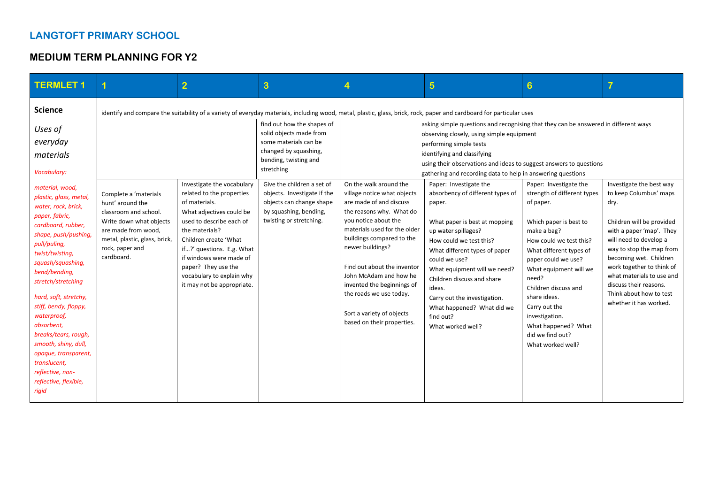## **LANGTOFT PRIMARY SCHOOL**

## **MEDIUM TERM PLANNING FOR Y2**

| <b>TERMLET1</b>                                                                                                                                                                                                                                                                                                                                                        | 1                                                                                             | $\overline{2}$                                                                                                                                                                    | 3                                                                                                                                                                                                                                                                                            | 4                                                                                                                                                                                                                                                          | $\overline{5}$                                                                                                                                                                                                                                                                                                                                                                                                                                                                                                                                                                                                   | $6\phantom{1}6$                                                                                                                                                                                                                                                        | 7                                                                                                                                                                                                                                                 |
|------------------------------------------------------------------------------------------------------------------------------------------------------------------------------------------------------------------------------------------------------------------------------------------------------------------------------------------------------------------------|-----------------------------------------------------------------------------------------------|-----------------------------------------------------------------------------------------------------------------------------------------------------------------------------------|----------------------------------------------------------------------------------------------------------------------------------------------------------------------------------------------------------------------------------------------------------------------------------------------|------------------------------------------------------------------------------------------------------------------------------------------------------------------------------------------------------------------------------------------------------------|------------------------------------------------------------------------------------------------------------------------------------------------------------------------------------------------------------------------------------------------------------------------------------------------------------------------------------------------------------------------------------------------------------------------------------------------------------------------------------------------------------------------------------------------------------------------------------------------------------------|------------------------------------------------------------------------------------------------------------------------------------------------------------------------------------------------------------------------------------------------------------------------|---------------------------------------------------------------------------------------------------------------------------------------------------------------------------------------------------------------------------------------------------|
| <b>Science</b><br>Uses of<br>everyday<br>materials<br>Vocabulary:<br>material, wood,<br>plastic, glass, metal,<br>water, rock, brick,<br>paper, fabric,                                                                                                                                                                                                                | Complete a 'materials<br>hunt' around the<br>classroom and school.<br>Write down what objects | Investigate the vocabulary<br>related to the properties<br>of materials.<br>What adjectives could be<br>used to describe each of                                                  | find out how the shapes of<br>solid objects made from<br>some materials can be<br>changed by squashing,<br>bending, twisting and<br>stretching<br>Give the children a set of<br>objects. Investigate if the<br>objects can change shape<br>by squashing, bending,<br>twisting or stretching. | On the walk around the<br>village notice what objects<br>are made of and discuss<br>the reasons why. What do<br>you notice about the                                                                                                                       | identify and compare the suitability of a variety of everyday materials, including wood, metal, plastic, glass, brick, rock, paper and cardboard for particular uses<br>asking simple questions and recognising that they can be answered in different ways<br>observing closely, using simple equipment<br>performing simple tests<br>identifying and classifying<br>using their observations and ideas to suggest answers to questions<br>gathering and recording data to help in answering questions<br>Paper: Investigate the<br>absorbency of different types of<br>paper.<br>What paper is best at mopping | Paper: Investigate the<br>strength of different types<br>of paper.<br>Which paper is best to                                                                                                                                                                           | Investigate the best way<br>to keep Columbus' maps<br>dry.<br>Children will be provided                                                                                                                                                           |
| cardboard, rubber,<br>shape, push/pushing,<br>pull/puling,<br>twist/twisting,<br>squash/squashing,<br>bend/bending,<br>stretch/stretching<br>hard, soft, stretchy,<br>stiff, bendy, floppy,<br>waterproof,<br>absorbent,<br>breaks/tears, rough,<br>smooth, shiny, dull,<br>opaque, transparent,<br>translucent,<br>reflective, non-<br>reflective, flexible,<br>rigid | are made from wood,<br>metal, plastic, glass, brick,<br>rock, paper and<br>cardboard.         | the materials?<br>Children create 'What<br>if?' questions. E.g. What<br>if windows were made of<br>paper? They use the<br>vocabulary to explain why<br>it may not be appropriate. |                                                                                                                                                                                                                                                                                              | materials used for the older<br>buildings compared to the<br>newer buildings?<br>Find out about the inventor<br>John McAdam and how he<br>invented the beginnings of<br>the roads we use today.<br>Sort a variety of objects<br>based on their properties. | up water spillages?<br>How could we test this?<br>What different types of paper<br>could we use?<br>What equipment will we need?<br>Children discuss and share<br>ideas.<br>Carry out the investigation.<br>What happened? What did we<br>find out?<br>What worked well?                                                                                                                                                                                                                                                                                                                                         | make a bag?<br>How could we test this?<br>What different types of<br>paper could we use?<br>What equipment will we<br>need?<br>Children discuss and<br>share ideas.<br>Carry out the<br>investigation.<br>What happened? What<br>did we find out?<br>What worked well? | with a paper 'map'. They<br>will need to develop a<br>way to stop the map from<br>becoming wet. Children<br>work together to think of<br>what materials to use and<br>discuss their reasons.<br>Think about how to test<br>whether it has worked. |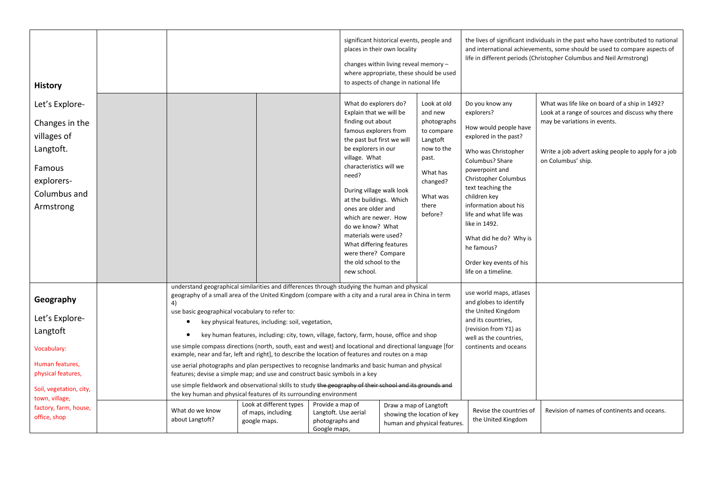| <b>History</b>                                                                                                                               |                                                           |                                                                                                                                                                                                                                     |                                                                                                                                                                                                                                                                                    | significant historical events, people and<br>places in their own locality<br>changes within living reveal memory -<br>where appropriate, these should be used<br>to aspects of change in national life                                                                                                                                                                                                                                                                                                                                                                                                                                                                                                                              |                                                                                                                                                | the lives of significant individuals in the past who have contributed to national<br>and international achievements, some should be used to compare aspects of<br>life in different periods (Christopher Columbus and Neil Armstrong)                                                                                                                                         |                                                                                                                                                                                                                 |
|----------------------------------------------------------------------------------------------------------------------------------------------|-----------------------------------------------------------|-------------------------------------------------------------------------------------------------------------------------------------------------------------------------------------------------------------------------------------|------------------------------------------------------------------------------------------------------------------------------------------------------------------------------------------------------------------------------------------------------------------------------------|-------------------------------------------------------------------------------------------------------------------------------------------------------------------------------------------------------------------------------------------------------------------------------------------------------------------------------------------------------------------------------------------------------------------------------------------------------------------------------------------------------------------------------------------------------------------------------------------------------------------------------------------------------------------------------------------------------------------------------------|------------------------------------------------------------------------------------------------------------------------------------------------|-------------------------------------------------------------------------------------------------------------------------------------------------------------------------------------------------------------------------------------------------------------------------------------------------------------------------------------------------------------------------------|-----------------------------------------------------------------------------------------------------------------------------------------------------------------------------------------------------------------|
| Let's Explore-<br>Changes in the<br>villages of<br>Langtoft.<br>Famous<br>explorers-<br>Columbus and<br>Armstrong                            |                                                           |                                                                                                                                                                                                                                     | Explain that we will be<br>finding out about<br>famous explorers from<br>be explorers in our<br>village. What<br>characteristics will we<br>need?<br>ones are older and<br>do we know? What<br>materials were used?<br>were there? Compare<br>the old school to the<br>new school. | What do explorers do?<br>the past but first we will<br>During village walk look<br>at the buildings. Which<br>which are newer. How<br>What differing features                                                                                                                                                                                                                                                                                                                                                                                                                                                                                                                                                                       | Look at old<br>and new<br>photographs<br>to compare<br>Langtoft<br>now to the<br>past.<br>What has<br>changed?<br>What was<br>there<br>before? | Do you know any<br>explorers?<br>How would people have<br>explored in the past?<br>Who was Christopher<br>Columbus? Share<br>powerpoint and<br><b>Christopher Columbus</b><br>text teaching the<br>children key<br>information about his<br>life and what life was<br>like in 1492.<br>What did he do? Why is<br>he famous?<br>Order key events of his<br>life on a timeline. | What was life like on board of a ship in 1492?<br>Look at a range of sources and discuss why there<br>may be variations in events.<br>Write a job advert asking people to apply for a job<br>on Columbus' ship. |
| Geography<br>Let's Explore-<br>Langtoft<br>Vocabulary:<br>Human features,<br>physical features,<br>Soil, vegetation, city,<br>town, village, | 4)<br>use basic geographical vocabulary to refer to:<br>٠ | key physical features, including: soil, vegetation,<br>features; devise a simple map; and use and construct basic symbols in a key<br>the key human and physical features of its surrounding environment<br>Look at different types | Provide a map of                                                                                                                                                                                                                                                                   | understand geographical similarities and differences through studying the human and physical<br>geography of a small area of the United Kingdom (compare with a city and a rural area in China in term<br>key human features, including: city, town, village, factory, farm, house, office and shop<br>use simple compass directions (north, south, east and west) and locational and directional language [for<br>example, near and far, left and right], to describe the location of features and routes on a map<br>use aerial photographs and plan perspectives to recognise landmarks and basic human and physical<br>use simple fieldwork and observational skills to study the geography of their school and its grounds and |                                                                                                                                                | use world maps, atlases<br>and globes to identify<br>the United Kingdom<br>and its countries,<br>(revision from Y1) as<br>well as the countries,<br>continents and oceans                                                                                                                                                                                                     |                                                                                                                                                                                                                 |
| factory, farm, house,<br>office, shop                                                                                                        | What do we know<br>about Langtoft?                        | of maps, including<br>google maps.                                                                                                                                                                                                  | Langtoft. Use aerial<br>photographs and<br>Google maps,                                                                                                                                                                                                                            | Draw a map of Langtoft                                                                                                                                                                                                                                                                                                                                                                                                                                                                                                                                                                                                                                                                                                              | showing the location of key<br>human and physical features.                                                                                    | Revise the countries of<br>the United Kingdom                                                                                                                                                                                                                                                                                                                                 | Revision of names of continents and oceans.                                                                                                                                                                     |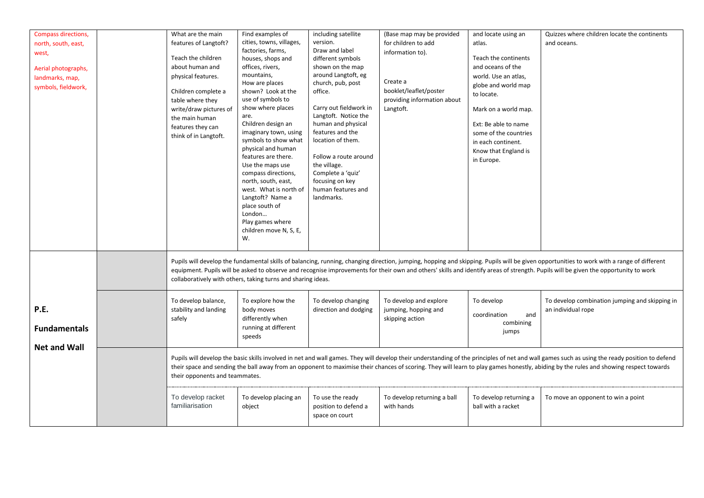| Compass directions,<br>north, south, east,<br>west,<br>Aerial photographs,<br>landmarks, map,<br>symbols, fieldwork, | What are the main<br>features of Langtoft?<br>Teach the children<br>about human and<br>physical features.<br>Children complete a<br>table where they<br>write/draw pictures of<br>the main human<br>features they can<br>think of in Langtoft.                                                                                                                                                                           | Find examples of<br>cities, towns, villages,<br>factories, farms,<br>houses, shops and<br>offices, rivers,<br>mountains,<br>How are places<br>shown? Look at the<br>use of symbols to<br>show where places<br>are.<br>Children design an<br>imaginary town, using<br>symbols to show what<br>physical and human<br>features are there.<br>Use the maps use<br>compass directions,<br>north, south, east,<br>west. What is north of<br>Langtoft? Name a<br>place south of<br>London<br>Play games where<br>children move N, S, E,<br>W. | including satellite<br>version.<br>Draw and label<br>different symbols<br>shown on the map<br>around Langtoft, eg<br>church, pub, post<br>office.<br>Carry out fieldwork in<br>Langtoft. Notice the<br>human and physical<br>features and the<br>location of them.<br>Follow a route around<br>the village.<br>Complete a 'quiz'<br>focusing on key<br>human features and<br>landmarks. | (Base map may be provided<br>for children to add<br>information to).<br>Create a<br>booklet/leaflet/poster<br>providing information about<br>Langtoft. | and locate using an<br>atlas.<br>Teach the continents<br>and oceans of the<br>world. Use an atlas,<br>globe and world map<br>to locate.<br>Mark on a world map.<br>Ext: Be able to name<br>some of the countries<br>in each continent.<br>Know that England is<br>in Europe. | Quizzes where children locate the continents<br>and oceans.                                                                                                                                                                                                                                                                                                                      |  |
|----------------------------------------------------------------------------------------------------------------------|--------------------------------------------------------------------------------------------------------------------------------------------------------------------------------------------------------------------------------------------------------------------------------------------------------------------------------------------------------------------------------------------------------------------------|----------------------------------------------------------------------------------------------------------------------------------------------------------------------------------------------------------------------------------------------------------------------------------------------------------------------------------------------------------------------------------------------------------------------------------------------------------------------------------------------------------------------------------------|-----------------------------------------------------------------------------------------------------------------------------------------------------------------------------------------------------------------------------------------------------------------------------------------------------------------------------------------------------------------------------------------|--------------------------------------------------------------------------------------------------------------------------------------------------------|------------------------------------------------------------------------------------------------------------------------------------------------------------------------------------------------------------------------------------------------------------------------------|----------------------------------------------------------------------------------------------------------------------------------------------------------------------------------------------------------------------------------------------------------------------------------------------------------------------------------------------------------------------------------|--|
|                                                                                                                      |                                                                                                                                                                                                                                                                                                                                                                                                                          | collaboratively with others, taking turns and sharing ideas.                                                                                                                                                                                                                                                                                                                                                                                                                                                                           |                                                                                                                                                                                                                                                                                                                                                                                         |                                                                                                                                                        |                                                                                                                                                                                                                                                                              | Pupils will develop the fundamental skills of balancing, running, changing direction, jumping, hopping and skipping. Pupils will be given opportunities to work with a range of different<br>equipment. Pupils will be asked to observe and recognise improvements for their own and others' skills and identify areas of strength. Pupils will be given the opportunity to work |  |
| P.E.<br><b>Fundamentals</b><br><b>Net and Wall</b>                                                                   | To develop balance,<br>stability and landing<br>safely                                                                                                                                                                                                                                                                                                                                                                   | To explore how the<br>body moves<br>differently when<br>running at different<br>speeds                                                                                                                                                                                                                                                                                                                                                                                                                                                 | To develop changing<br>direction and dodging                                                                                                                                                                                                                                                                                                                                            | To develop and explore<br>jumping, hopping and<br>skipping action                                                                                      | To develop<br>coordination<br>and<br>combining<br>jumps                                                                                                                                                                                                                      | To develop combination jumping and skipping in<br>an individual rope                                                                                                                                                                                                                                                                                                             |  |
|                                                                                                                      | Pupils will develop the basic skills involved in net and wall games. They will develop their understanding of the principles of net and wall games such as using the ready position to defend<br>their space and sending the ball away from an opponent to maximise their chances of scoring. They will learn to play games honestly, abiding by the rules and showing respect towards<br>their opponents and teammates. |                                                                                                                                                                                                                                                                                                                                                                                                                                                                                                                                        |                                                                                                                                                                                                                                                                                                                                                                                         |                                                                                                                                                        |                                                                                                                                                                                                                                                                              |                                                                                                                                                                                                                                                                                                                                                                                  |  |
|                                                                                                                      | To develop racket<br>familiarisation                                                                                                                                                                                                                                                                                                                                                                                     | To develop placing an<br>object                                                                                                                                                                                                                                                                                                                                                                                                                                                                                                        | To use the ready<br>position to defend a<br>space on court                                                                                                                                                                                                                                                                                                                              | To develop returning a ball<br>with hands                                                                                                              | To develop returning a<br>ball with a racket                                                                                                                                                                                                                                 | To move an opponent to win a point                                                                                                                                                                                                                                                                                                                                               |  |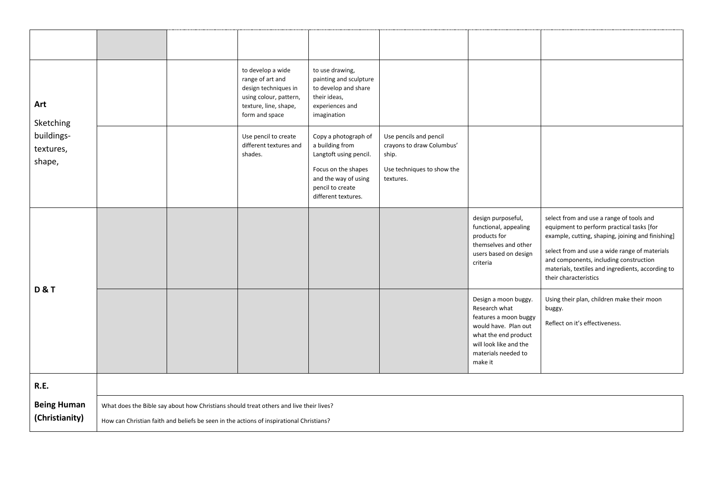| Art<br>Sketching<br>buildings-<br>textures,<br>shape, |                                                                                                                                                                                   |  | to develop a wide<br>range of art and<br>design techniques in<br>using colour, pattern,<br>texture, line, shape,<br>form and space | to use drawing,<br>painting and sculpture<br>to develop and share<br>their ideas,<br>experiences and<br>imagination                                         |                                                                                                         |                                                                                                                                                                            |                                                                                                                                                                                                                                                                                                                     |  |  |
|-------------------------------------------------------|-----------------------------------------------------------------------------------------------------------------------------------------------------------------------------------|--|------------------------------------------------------------------------------------------------------------------------------------|-------------------------------------------------------------------------------------------------------------------------------------------------------------|---------------------------------------------------------------------------------------------------------|----------------------------------------------------------------------------------------------------------------------------------------------------------------------------|---------------------------------------------------------------------------------------------------------------------------------------------------------------------------------------------------------------------------------------------------------------------------------------------------------------------|--|--|
|                                                       |                                                                                                                                                                                   |  | Use pencil to create<br>different textures and<br>shades.                                                                          | Copy a photograph of<br>a building from<br>Langtoft using pencil.<br>Focus on the shapes<br>and the way of using<br>pencil to create<br>different textures. | Use pencils and pencil<br>crayons to draw Columbus'<br>ship.<br>Use techniques to show the<br>textures. |                                                                                                                                                                            |                                                                                                                                                                                                                                                                                                                     |  |  |
| <b>D&amp;T</b>                                        |                                                                                                                                                                                   |  |                                                                                                                                    |                                                                                                                                                             |                                                                                                         | design purposeful,<br>functional, appealing<br>products for<br>themselves and other<br>users based on design<br>criteria                                                   | select from and use a range of tools and<br>equipment to perform practical tasks [for<br>example, cutting, shaping, joining and finishing]<br>select from and use a wide range of materials<br>and components, including construction<br>materials, textiles and ingredients, according to<br>their characteristics |  |  |
|                                                       |                                                                                                                                                                                   |  |                                                                                                                                    |                                                                                                                                                             |                                                                                                         | Design a moon buggy.<br>Research what<br>features a moon buggy<br>would have. Plan out<br>what the end product<br>will look like and the<br>materials needed to<br>make it | Using their plan, children make their moon<br>buggy.<br>Reflect on it's effectiveness.                                                                                                                                                                                                                              |  |  |
| <b>R.E.</b>                                           |                                                                                                                                                                                   |  |                                                                                                                                    |                                                                                                                                                             |                                                                                                         |                                                                                                                                                                            |                                                                                                                                                                                                                                                                                                                     |  |  |
| <b>Being Human</b><br>(Christianity)                  | What does the Bible say about how Christians should treat others and live their lives?<br>How can Christian faith and beliefs be seen in the actions of inspirational Christians? |  |                                                                                                                                    |                                                                                                                                                             |                                                                                                         |                                                                                                                                                                            |                                                                                                                                                                                                                                                                                                                     |  |  |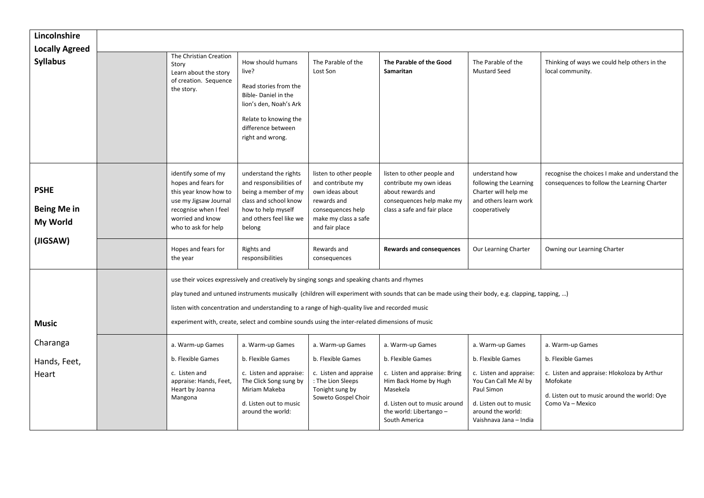| Lincolnshire                                  |                                                                                                                                                                                                                                                                                                                                                                                                                                                     |                                                                                                                                                                         |                                                                                                                                              |                                                                                                                                                                                          |                                                                                                                                                                                  |                                                                                                                                                                      |  |
|-----------------------------------------------|-----------------------------------------------------------------------------------------------------------------------------------------------------------------------------------------------------------------------------------------------------------------------------------------------------------------------------------------------------------------------------------------------------------------------------------------------------|-------------------------------------------------------------------------------------------------------------------------------------------------------------------------|----------------------------------------------------------------------------------------------------------------------------------------------|------------------------------------------------------------------------------------------------------------------------------------------------------------------------------------------|----------------------------------------------------------------------------------------------------------------------------------------------------------------------------------|----------------------------------------------------------------------------------------------------------------------------------------------------------------------|--|
| <b>Locally Agreed</b><br><b>Syllabus</b>      | The Christian Creation<br>Story<br>Learn about the story<br>of creation. Sequence<br>the story.                                                                                                                                                                                                                                                                                                                                                     | How should humans<br>live?<br>Read stories from the<br>Bible-Daniel in the<br>lion's den, Noah's Ark<br>Relate to knowing the<br>difference between<br>right and wrong. | The Parable of the<br>Lost Son                                                                                                               | The Parable of the Good<br>Samaritan                                                                                                                                                     | The Parable of the<br><b>Mustard Seed</b>                                                                                                                                        | Thinking of ways we could help others in the<br>local community.                                                                                                     |  |
| <b>PSHE</b><br><b>Being Me in</b><br>My World | identify some of my<br>hopes and fears for<br>this year know how to<br>use my Jigsaw Journal<br>recognise when I feel<br>worried and know<br>who to ask for help                                                                                                                                                                                                                                                                                    | understand the rights<br>and responsibilities of<br>being a member of my<br>class and school know<br>how to help myself<br>and others feel like we<br>belong            | listen to other people<br>and contribute my<br>own ideas about<br>rewards and<br>consequences help<br>make my class a safe<br>and fair place | listen to other people and<br>contribute my own ideas<br>about rewards and<br>consequences help make my<br>class a safe and fair place                                                   | understand how<br>following the Learning<br>Charter will help me<br>and others learn work<br>cooperatively                                                                       | recognise the choices I make and understand the<br>consequences to follow the Learning Charter                                                                       |  |
| (JIGSAW)                                      | Hopes and fears for<br>the year                                                                                                                                                                                                                                                                                                                                                                                                                     | Rights and<br>responsibilities                                                                                                                                          | Rewards and<br>consequences                                                                                                                  | <b>Rewards and consequences</b>                                                                                                                                                          | Our Learning Charter                                                                                                                                                             | Owning our Learning Charter                                                                                                                                          |  |
| <b>Music</b>                                  | use their voices expressively and creatively by singing songs and speaking chants and rhymes<br>play tuned and untuned instruments musically (children will experiment with sounds that can be made using their body, e.g. clapping, tapping, )<br>listen with concentration and understanding to a range of high-quality live and recorded music<br>experiment with, create, select and combine sounds using the inter-related dimensions of music |                                                                                                                                                                         |                                                                                                                                              |                                                                                                                                                                                          |                                                                                                                                                                                  |                                                                                                                                                                      |  |
| Charanga<br>Hands, Feet,<br>Heart             | a. Warm-up Games<br>b. Flexible Games<br>c. Listen and<br>appraise: Hands, Feet,<br>Heart by Joanna<br>Mangona                                                                                                                                                                                                                                                                                                                                      | a. Warm-up Games<br>b. Flexible Games<br>c. Listen and appraise:<br>The Click Song sung by<br>Miriam Makeba<br>d. Listen out to music<br>around the world:              | a. Warm-up Games<br>b. Flexible Games<br>c. Listen and appraise<br>: The Lion Sleeps<br>Tonight sung by<br>Soweto Gospel Choir               | a. Warm-up Games<br>b. Flexible Games<br>c. Listen and appraise: Bring<br>Him Back Home by Hugh<br>Masekela<br>d. Listen out to music around<br>the world: Libertango -<br>South America | a. Warm-up Games<br>b. Flexible Games<br>c. Listen and appraise:<br>You Can Call Me Al by<br>Paul Simon<br>d. Listen out to music<br>around the world:<br>Vaishnava Jana - India | a. Warm-up Games<br>b. Flexible Games<br>c. Listen and appraise: Hlokoloza by Arthur<br>Mofokate<br>d. Listen out to music around the world: Oye<br>Como Va - Mexico |  |